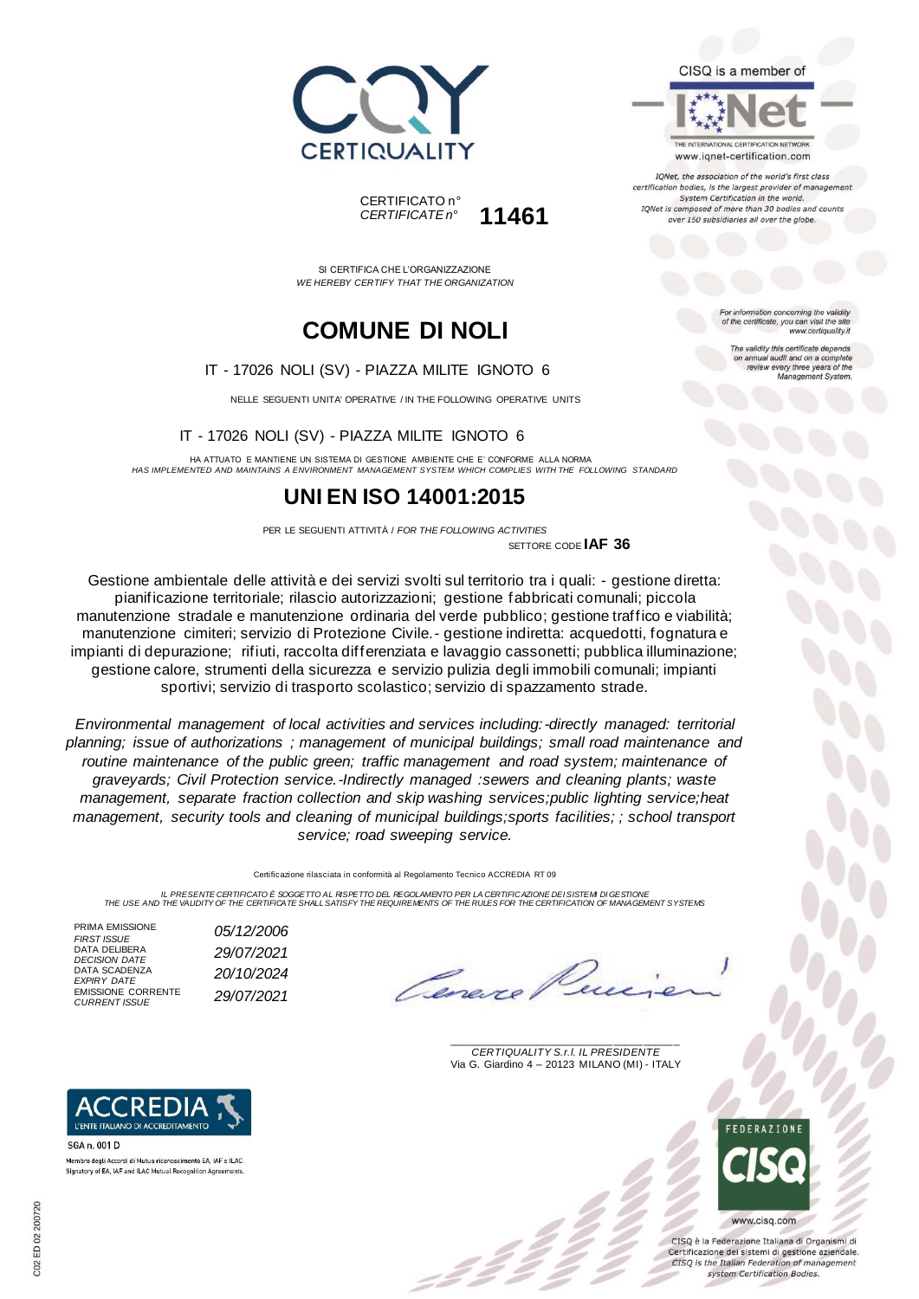



SI CERTIFICA CHE L'ORGANIZZAZIONE *WE HEREBY CERTIFY THAT THE ORGANIZATION*

# **COMUNE DI NOLI**

#### IT - 17026 NOLI (SV) - PIAZZA MILITE IGNOTO 6

NELLE SEGUENTI UNITA' OPERATIVE / IN THE FOLLOWING OPERATIVE UNITS

#### IT - 17026 NOLI (SV) - PIAZZA MILITE IGNOTO 6

HA ATTUATO E MANTIENE UN SISTEMA DI GESTIONE AMBIENTE CHE E' CONFORME ALLA NORMA *HAS IMPLEMENTED AND MAINTAINS A ENVIRONMENT MANAGEMENT SYSTEM WHICH COMPLIES WITH THE FOLLOWING STANDARD*

## **UNI EN ISO 14001:2015**

PER LE SEGUENTI ATTIVITÀ / *FOR THE FOLLOWING ACTIVITIES* SETTORE CODE **IAF 36**

Gestione ambientale delle attività e dei servizi svolti sul territorio tra i quali: - gestione diretta: pianificazione territoriale; rilascio autorizzazioni; gestione fabbricati comunali; piccola manutenzione stradale e manutenzione ordinaria del verde pubblico; gestione traffico e viabilità; manutenzione cimiteri; servizio di Protezione Civile.- gestione indiretta: acquedotti, fognatura e impianti di depurazione; rifiuti, raccolta differenziata e lavaggio cassonetti; pubblica illuminazione; gestione calore, strumenti della sicurezza e servizio pulizia degli immobili comunali; impianti sportivi; servizio di trasporto scolastico; servizio di spazzamento strade.

*Environmental management of local activities and services including:-directly managed: territorial planning; issue of authorizations ; management of municipal buildings; small road maintenance and routine maintenance of the public green; traffic management and road system; maintenance of graveyards; Civil Protection service.-Indirectly managed :sewers and cleaning plants; waste management, separate fraction collection and skip washing services;public lighting service;heat management, security tools and cleaning of municipal buildings;sports facilities; ; school transport service; road sweeping service.*

Certificazione rilasciata in conformità al Regolamento Tecnico ACCREDIA RT 09

IL PRESENTE CERTIFICATO E SOGGETTO AL RISPETTO DEL REGOLAMENTO PER LA CERTIFICAZIONE DEI SISTEMI DI GESTIONE<br>THE USE AND THE VALIDITY OF THE CERTIFICATE SHALL SATISFY THE REQUIREMENTS OF THE RULES FOR THE CERTIFICATION OF

PRIMA EMISSIONE<br>FIRST ISSUE DATA DELIBERA DATA SCADENZA<br>EXPIRY DATE EMISSIONE CORRENTE *CURRENT ISSUE 29/07/2021*

*FIRST ISSUE 05/12/2006 DECISION DATE 29/07/2021 EXPIRY DATE 20/10/2024*

\_\_\_\_\_\_\_\_\_\_\_\_\_\_\_\_\_\_\_\_\_\_\_\_\_\_\_\_\_\_\_\_\_\_\_\_\_\_\_ *CERTIQUALITY S.r.l. IL PRESIDENTE* Via G. Giardino 4 – 20123 MILANO (MI) - ITALY



CISO è la Federazione Italiana di Organismi di Certificazione dei sistemi di gestione aziendale. CISQ is the Italian Federation of management system Certification Bodies.



www.iqnet-certification.com

TONet, the association of the world's first class certification bodies, is the largest provider of manager System Certification in the world. IQNet is composed of more than 30 bodies and counts over 150 subsidiaries all over the globe.

> tion concerning the validity of the certificate, you can visit the sit www.certiquality.it

The validity this certificate depends on annual audit and on a complete<br>review every three years of the<br>Management System.



Membro degli Accordi di Mutuo riconoscimento EA, IAF e ILAC.<br>Signatory of EA, IAF and ILAC Mutual Recognition Agreements

L'ENTE ITALIANO DI ACCREDITAMENTO

SGA n. 001 D